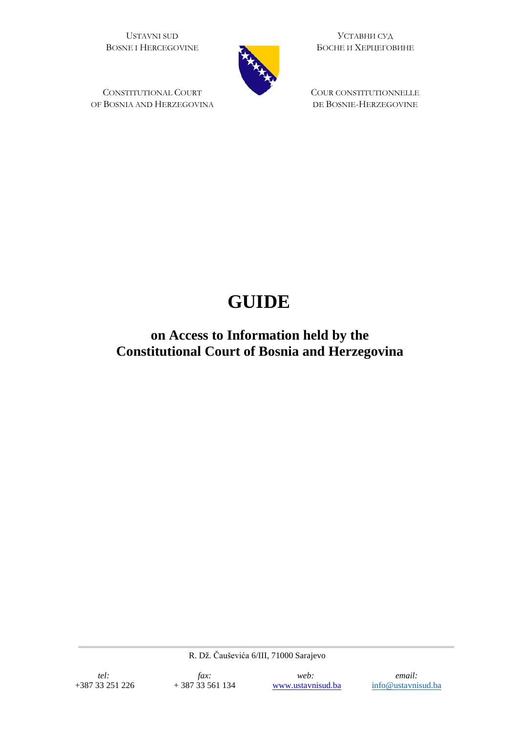USTAVNI SUD BOSNE I HERCEGOVINE

CONSTITUTIONAL COURT OF BOSNIA AND HERZEGOVINA

УСТАВНИ СУД БОСНЕ И ХЕРЦЕГОВИНЕ

COUR CONSTITUTIONNELLE DE BOSNIE-HERZEGOVINE

# **GUIDE**

**on Access to Information held by the Constitutional Court of Bosnia and Herzegovina**

R. Dž. Čauševića 6/III, 71000 Sarajevo

*web:* [www.ustavnisud.ba](http://www.ustavnisud.ba/)

*email:* [info@ustavnisud.ba](mailto:info@ustavnisud.ba)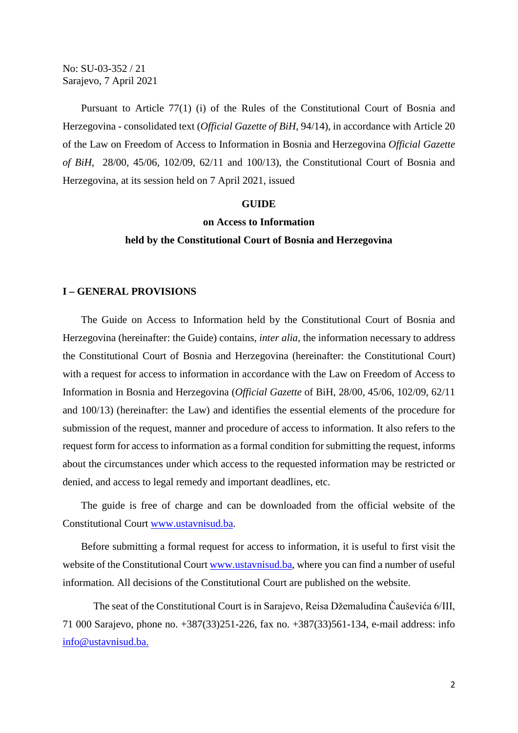No: SU-03-352 / 21 Sarajevo, 7 April 2021

Pursuant to Article 77(1) (i) of the Rules of the Constitutional Court of Bosnia and Herzegovina - consolidated text (*Official Gazette of BiH*, 94/14), in accordance with Article 20 of the Law on Freedom of Access to Information in Bosnia and Herzegovina *Official Gazette of BiH*, 28/00, 45/06, 102/09, 62/11 and 100/13), the Constitutional Court of Bosnia and Herzegovina, at its session held on 7 April 2021, issued

#### **GUIDE**

## **on Access to Information**

#### **held by the Constitutional Court of Bosnia and Herzegovina**

#### **I – GENERAL PROVISIONS**

The Guide on Access to Information held by the Constitutional Court of Bosnia and Herzegovina (hereinafter: the Guide) contains, *inter alia*, the information necessary to address the Constitutional Court of Bosnia and Herzegovina (hereinafter: the Constitutional Court) with a request for access to information in accordance with the Law on Freedom of Access to Information in Bosnia and Herzegovina (*Official Gazette* of BiH, 28/00, 45/06, 102/09, 62/11 and 100/13) (hereinafter: the Law) and identifies the essential elements of the procedure for submission of the request, manner and procedure of access to information. It also refers to the request form for access to information as a formal condition for submitting the request, informs about the circumstances under which access to the requested information may be restricted or denied, and access to legal remedy and important deadlines, etc.

The guide is free of charge and can be downloaded from the official website of the Constitutional Court [www.ustavnisud.ba.](http://www.ustavnisud.ba/)

Before submitting a formal request for access to information, it is useful to first visit the website of the Constitutional Court [www.ustavnisud.ba,](http://www.ustavnisud.ba/) where you can find a number of useful information. All decisions of the Constitutional Court are published on the website.

The seat of the Constitutional Court is in Sarajevo, Reisa Džemaludina Čauševića 6/III, 71 000 Sarajevo, phone no. +387(33)251-226, fax no. +387(33)561-134, e-mail address: info [info@ustavnisud.ba.](mailto:info@ustavnisud.ba)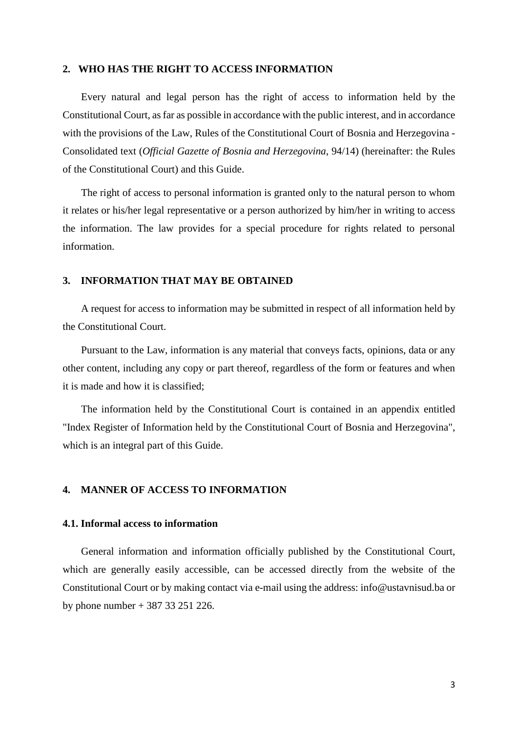#### **2. WHO HAS THE RIGHT TO ACCESS INFORMATION**

Every natural and legal person has the right of access to information held by the Constitutional Court, as far as possible in accordance with the public interest, and in accordance with the provisions of the Law, Rules of the Constitutional Court of Bosnia and Herzegovina - Consolidated text (*Official Gazette of Bosnia and Herzegovina*, 94/14) (hereinafter: the Rules of the Constitutional Court) and this Guide.

The right of access to personal information is granted only to the natural person to whom it relates or his/her legal representative or a person authorized by him/her in writing to access the information. The law provides for a special procedure for rights related to personal information.

# **3. INFORMATION THAT MAY BE OBTAINED**

A request for access to information may be submitted in respect of all information held by the Constitutional Court.

Pursuant to the Law, information is any material that conveys facts, opinions, data or any other content, including any copy or part thereof, regardless of the form or features and when it is made and how it is classified;

The information held by the Constitutional Court is contained in an appendix entitled "Index Register of Information held by the Constitutional Court of Bosnia and Herzegovina", which is an integral part of this Guide.

# **4. MANNER OF ACCESS TO INFORMATION**

#### **4.1. Informal access to information**

General information and information officially published by the Constitutional Court, which are generally easily accessible, can be accessed directly from the website of the Constitutional Court or by making contact via e-mail using the address: info@ustavnisud.ba or by phone number + 387 33 251 226.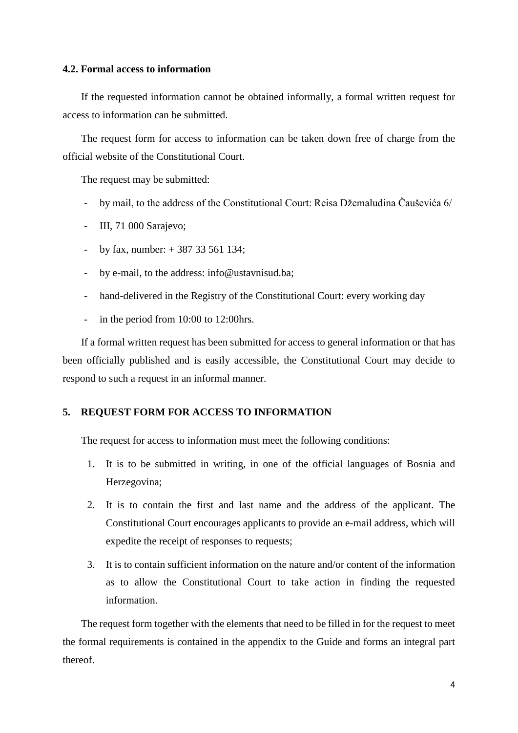# **4.2. Formal access to information**

If the requested information cannot be obtained informally, a formal written request for access to information can be submitted.

The request form for access to information can be taken down free of charge from the official website of the Constitutional Court.

The request may be submitted:

- by mail, to the address of the Constitutional Court: Reisa Džemaludina Čauševića 6/
- III, 71 000 Sarajevo;
- by fax, number:  $+ 387 33 561 134$ ;
- by e-mail, to the address: info@ustavnisud.ba;
- hand-delivered in the Registry of the Constitutional Court: every working day
- in the period from 10:00 to 12:00hrs.

If a formal written request has been submitted for access to general information or that has been officially published and is easily accessible, the Constitutional Court may decide to respond to such a request in an informal manner.

# **5. REQUEST FORM FOR ACCESS TO INFORMATION**

The request for access to information must meet the following conditions:

- 1. It is to be submitted in writing, in one of the official languages of Bosnia and Herzegovina;
- 2. It is to contain the first and last name and the address of the applicant. The Constitutional Court encourages applicants to provide an e-mail address, which will expedite the receipt of responses to requests;
- 3. It is to contain sufficient information on the nature and/or content of the information as to allow the Constitutional Court to take action in finding the requested information.

The request form together with the elements that need to be filled in for the request to meet the formal requirements is contained in the appendix to the Guide and forms an integral part thereof.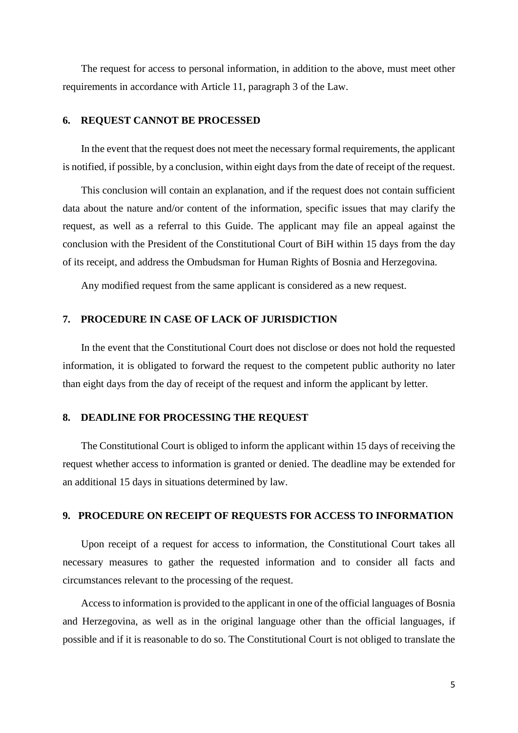The request for access to personal information, in addition to the above, must meet other requirements in accordance with Article 11, paragraph 3 of the Law.

# **6. REQUEST CANNOT BE PROCESSED**

In the event that the request does not meet the necessary formal requirements, the applicant is notified, if possible, by a conclusion, within eight days from the date of receipt of the request.

This conclusion will contain an explanation, and if the request does not contain sufficient data about the nature and/or content of the information, specific issues that may clarify the request, as well as a referral to this Guide. The applicant may file an appeal against the conclusion with the President of the Constitutional Court of BiH within 15 days from the day of its receipt, and address the Ombudsman for Human Rights of Bosnia and Herzegovina.

Any modified request from the same applicant is considered as a new request.

# **7. PROCEDURE IN CASE OF LACK OF JURISDICTION**

In the event that the Constitutional Court does not disclose or does not hold the requested information, it is obligated to forward the request to the competent public authority no later than eight days from the day of receipt of the request and inform the applicant by letter.

#### **8. DEADLINE FOR PROCESSING THE REQUEST**

The Constitutional Court is obliged to inform the applicant within 15 days of receiving the request whether access to information is granted or denied. The deadline may be extended for an additional 15 days in situations determined by law.

#### **9. PROCEDURE ON RECEIPT OF REQUESTS FOR ACCESS TO INFORMATION**

Upon receipt of a request for access to information, the Constitutional Court takes all necessary measures to gather the requested information and to consider all facts and circumstances relevant to the processing of the request.

Access to information is provided to the applicant in one of the official languages of Bosnia and Herzegovina, as well as in the original language other than the official languages, if possible and if it is reasonable to do so. The Constitutional Court is not obliged to translate the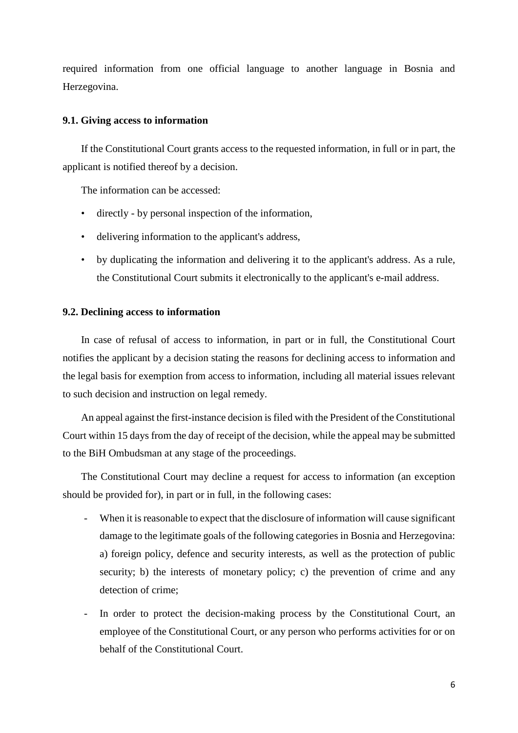required information from one official language to another language in Bosnia and Herzegovina.

#### **9.1. Giving access to information**

If the Constitutional Court grants access to the requested information, in full or in part, the applicant is notified thereof by a decision.

The information can be accessed:

- directly by personal inspection of the information,
- delivering information to the applicant's address,
- by duplicating the information and delivering it to the applicant's address. As a rule, the Constitutional Court submits it electronically to the applicant's e-mail address.

#### **9.2. Declining access to information**

In case of refusal of access to information, in part or in full, the Constitutional Court notifies the applicant by a decision stating the reasons for declining access to information and the legal basis for exemption from access to information, including all material issues relevant to such decision and instruction on legal remedy.

An appeal against the first-instance decision isfiled with the President of the Constitutional Court within 15 days from the day of receipt of the decision, while the appeal may be submitted to the BiH Ombudsman at any stage of the proceedings.

The Constitutional Court may decline a request for access to information (an exception should be provided for), in part or in full, in the following cases:

- When it is reasonable to expect that the disclosure of information will cause significant damage to the legitimate goals of the following categories in Bosnia and Herzegovina: a) foreign policy, defence and security interests, as well as the protection of public security; b) the interests of monetary policy; c) the prevention of crime and any detection of crime;
- In order to protect the decision-making process by the Constitutional Court, an employee of the Constitutional Court, or any person who performs activities for or on behalf of the Constitutional Court.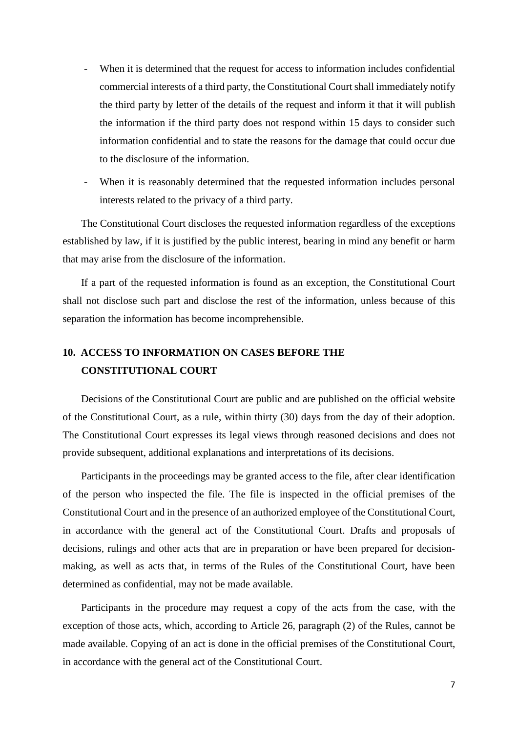- When it is determined that the request for access to information includes confidential commercial interests of a third party, the Constitutional Court shall immediately notify the third party by letter of the details of the request and inform it that it will publish the information if the third party does not respond within 15 days to consider such information confidential and to state the reasons for the damage that could occur due to the disclosure of the information.
- When it is reasonably determined that the requested information includes personal interests related to the privacy of a third party.

The Constitutional Court discloses the requested information regardless of the exceptions established by law, if it is justified by the public interest, bearing in mind any benefit or harm that may arise from the disclosure of the information.

If a part of the requested information is found as an exception, the Constitutional Court shall not disclose such part and disclose the rest of the information, unless because of this separation the information has become incomprehensible.

# **10. ACCESS TO INFORMATION ON CASES BEFORE THE CONSTITUTIONAL COURT**

Decisions of the Constitutional Court are public and are published on the official website of the Constitutional Court, as a rule, within thirty (30) days from the day of their adoption. The Constitutional Court expresses its legal views through reasoned decisions and does not provide subsequent, additional explanations and interpretations of its decisions.

Participants in the proceedings may be granted access to the file, after clear identification of the person who inspected the file. The file is inspected in the official premises of the Constitutional Court and in the presence of an authorized employee of the Constitutional Court, in accordance with the general act of the Constitutional Court. Drafts and proposals of decisions, rulings and other acts that are in preparation or have been prepared for decisionmaking, as well as acts that, in terms of the Rules of the Constitutional Court, have been determined as confidential, may not be made available.

Participants in the procedure may request a copy of the acts from the case, with the exception of those acts, which, according to Article 26, paragraph (2) of the Rules, cannot be made available. Copying of an act is done in the official premises of the Constitutional Court, in accordance with the general act of the Constitutional Court.